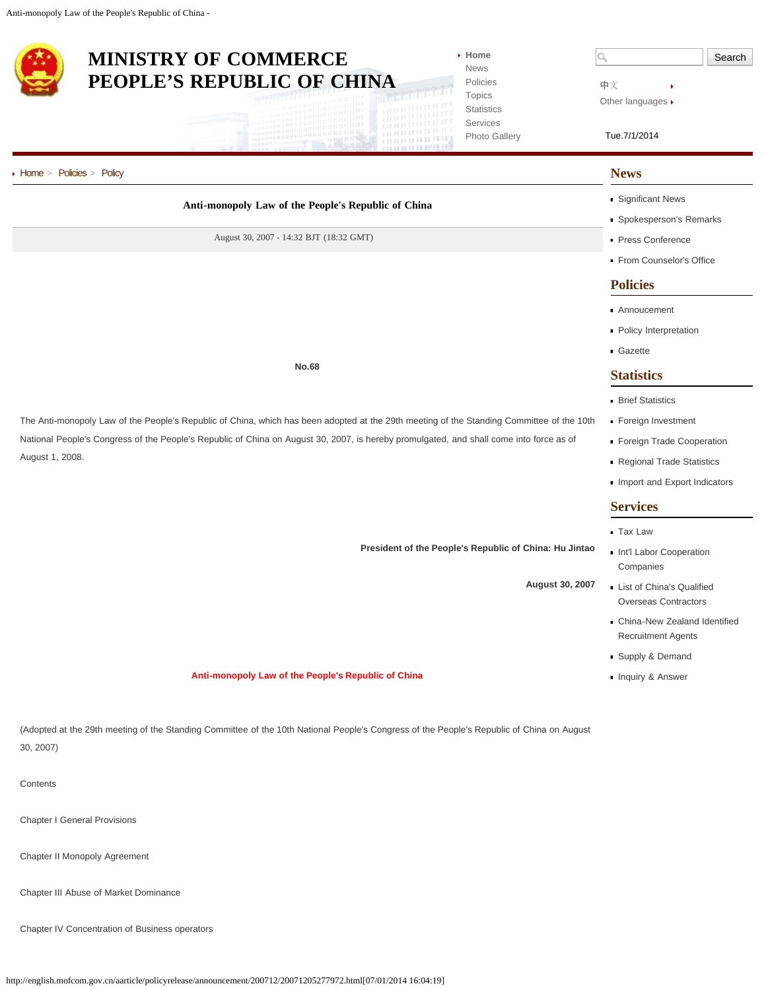

**Contents** 

Chapter I General Provisions

Chapter II Monopoly Agreement

Chapter III Abuse of Market Dominance

Chapter IV Concentration of Business operators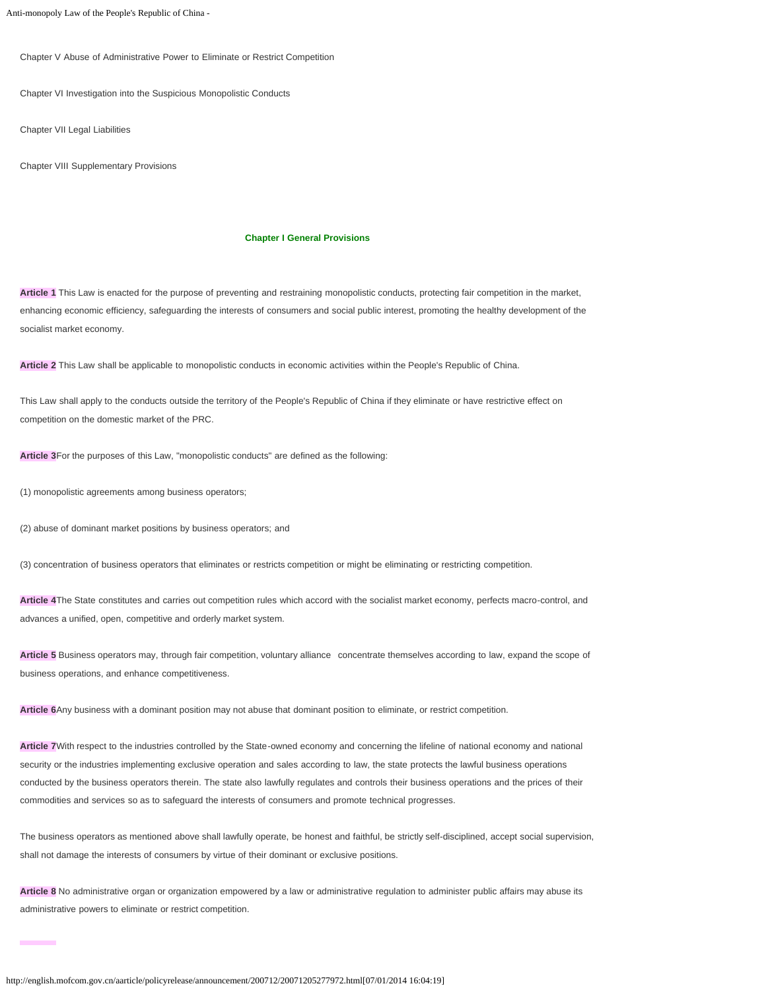Chapter V Abuse of Administrative Power to Eliminate or Restrict Competition

Chapter VI Investigation into the Suspicious Monopolistic Conducts

Chapter VII Legal Liabilities

Chapter VIII Supplementary Provisions

# **Chapter I General Provisions**

**Article 1** This Law is enacted for the purpose of preventing and restraining monopolistic conducts, protecting fair competition in the market, enhancing economic efficiency, safeguarding the interests of consumers and social public interest, promoting the healthy development of the socialist market economy.

**Article 2** This Law shall be applicable to monopolistic conducts in economic activities within the People's Republic of China.

This Law shall apply to the conducts outside the territory of the People's Republic of China if they eliminate or have restrictive effect on competition on the domestic market of the PRC.

**Article 3**For the purposes of this Law, "monopolistic conducts" are defined as the following:

(1) monopolistic agreements among business operators;

(2) abuse of dominant market positions by business operators; and

(3) concentration of business operators that eliminates or restricts competition or might be eliminating or restricting competition.

**Article 4**The State constitutes and carries out competition rules which accord with the socialist market economy, perfects macro-control, and advances a unified, open, competitive and orderly market system.

**Article 5** Business operators may, through fair competition, voluntary alliance concentrate themselves according to law, expand the scope of business operations, and enhance competitiveness.

**Article 6**Any business with a dominant position may not abuse that dominant position to eliminate, or restrict competition.

**Article 7**With respect to the industries controlled by the State-owned economy and concerning the lifeline of national economy and national security or the industries implementing exclusive operation and sales according to law, the state protects the lawful business operations conducted by the business operators therein. The state also lawfully regulates and controls their business operations and the prices of their commodities and services so as to safeguard the interests of consumers and promote technical progresses.

The business operators as mentioned above shall lawfully operate, be honest and faithful, be strictly self-disciplined, accept social supervision, shall not damage the interests of consumers by virtue of their dominant or exclusive positions.

**Article 8** No administrative organ or organization empowered by a law or administrative regulation to administer public affairs may abuse its administrative powers to eliminate or restrict competition.

http://english.mofcom.gov.cn/aarticle/policyrelease/announcement/200712/20071205277972.html[07/01/2014 16:04:19]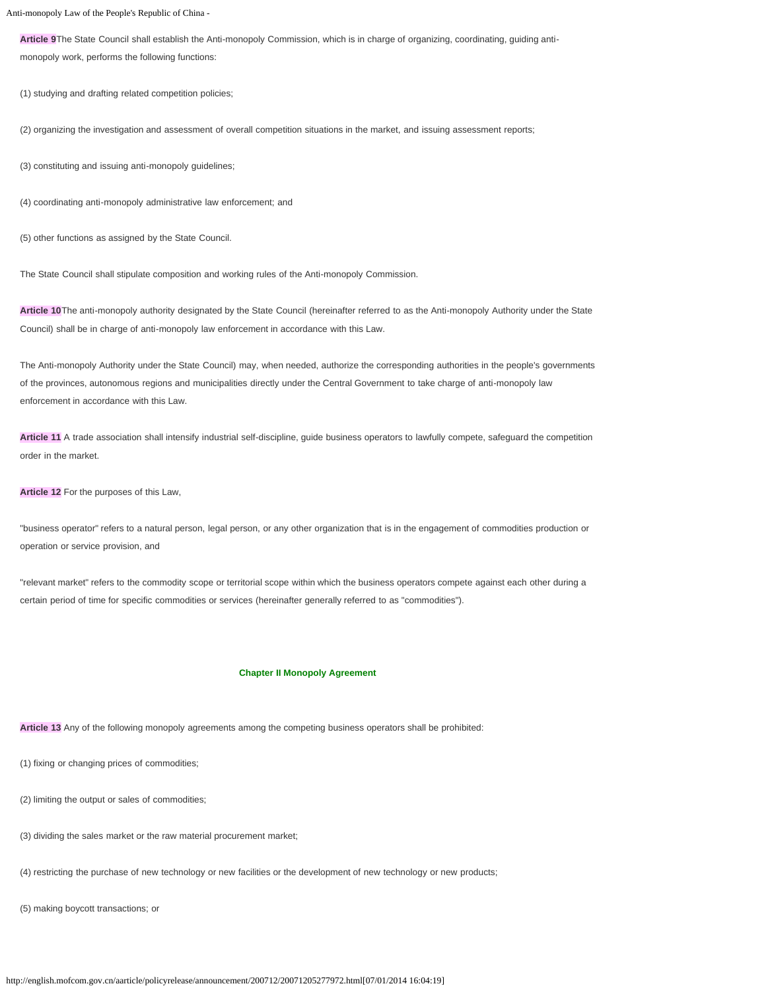**Article 9**The State Council shall establish the Anti-monopoly Commission, which is in charge of organizing, coordinating, guiding antimonopoly work, performs the following functions:

(1) studying and drafting related competition policies;

(2) organizing the investigation and assessment of overall competition situations in the market, and issuing assessment reports;

(3) constituting and issuing anti-monopoly guidelines;

(4) coordinating anti-monopoly administrative law enforcement; and

(5) other functions as assigned by the State Council.

The State Council shall stipulate composition and working rules of the Anti-monopoly Commission.

**Article 10**The anti-monopoly authority designated by the State Council (hereinafter referred to as the Anti-monopoly Authority under the State Council) shall be in charge of anti-monopoly law enforcement in accordance with this Law.

The Anti-monopoly Authority under the State Council) may, when needed, authorize the corresponding authorities in the people's governments of the provinces, autonomous regions and municipalities directly under the Central Government to take charge of anti-monopoly law enforcement in accordance with this Law.

**Article 11** A trade association shall intensify industrial self-discipline, guide business operators to lawfully compete, safeguard the competition order in the market.

**Article 12** For the purposes of this Law,

"business operator" refers to a natural person, legal person, or any other organization that is in the engagement of commodities production or operation or service provision, and

"relevant market" refers to the commodity scope or territorial scope within which the business operators compete against each other during a certain period of time for specific commodities or services (hereinafter generally referred to as "commodities").

### **Chapter II Monopoly Agreement**

**Article 13** Any of the following monopoly agreements among the competing business operators shall be prohibited:

(1) fixing or changing prices of commodities;

(2) limiting the output or sales of commodities;

(3) dividing the sales market or the raw material procurement market;

(4) restricting the purchase of new technology or new facilities or the development of new technology or new products;

(5) making boycott transactions; or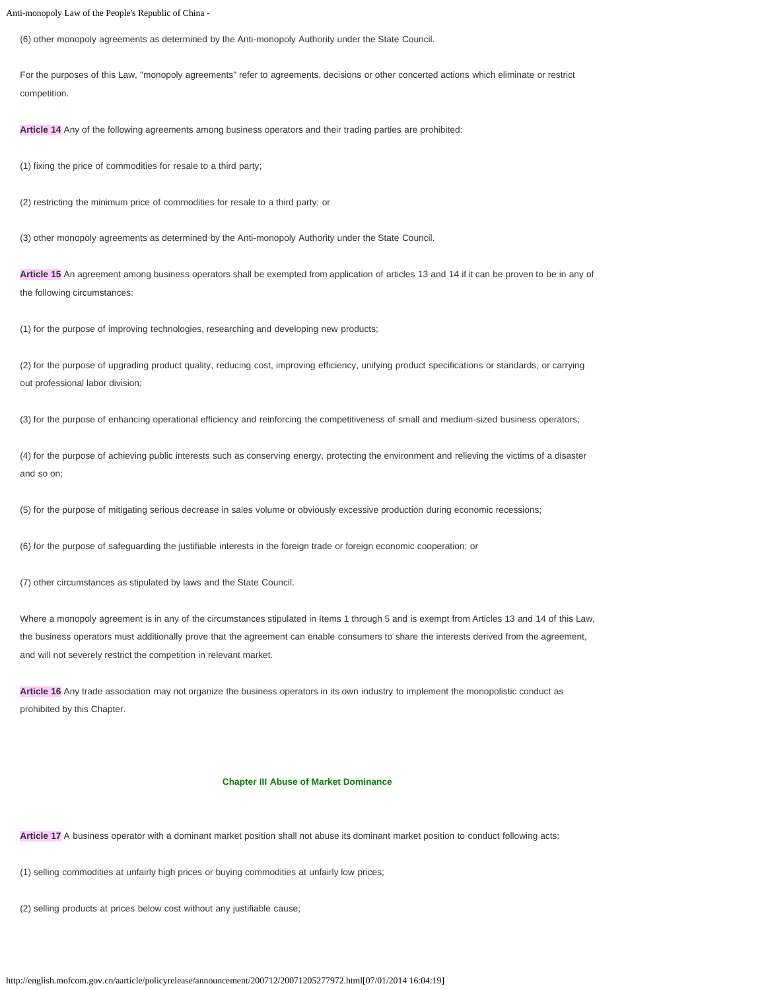(6) other monopoly agreements as determined by the Anti-monopoly Authority under the State Council.

For the purposes of this Law, "monopoly agreements" refer to agreements, decisions or other concerted actions which eliminate or restrict competition.

**Article 14** Any of the following agreements among business operators and their trading parties are prohibited:

(1) fixing the price of commodities for resale to a third party;

(2) restricting the minimum price of commodities for resale to a third party; or

(3) other monopoly agreements as determined by the Anti-monopoly Authority under the State Council.

**Article 15** An agreement among business operators shall be exempted from application of articles 13 and 14 if it can be proven to be in any of the following circumstances:

(1) for the purpose of improving technologies, researching and developing new products;

(2) for the purpose of upgrading product quality, reducing cost, improving efficiency, unifying product specifications or standards, or carrying out professional labor division;

(3) for the purpose of enhancing operational efficiency and reinforcing the competitiveness of small and medium-sized business operators;

(4) for the purpose of achieving public interests such as conserving energy, protecting the environment and relieving the victims of a disaster and so on;

(5) for the purpose of mitigating serious decrease in sales volume or obviously excessive production during economic recessions;

(6) for the purpose of safeguarding the justifiable interests in the foreign trade or foreign economic cooperation; or

(7) other circumstances as stipulated by laws and the State Council.

Where a monopoly agreement is in any of the circumstances stipulated in Items 1 through 5 and is exempt from Articles 13 and 14 of this Law, the business operators must additionally prove that the agreement can enable consumers to share the interests derived from the agreement, and will not severely restrict the competition in relevant market.

**Article 16** Any trade association may not organize the business operators in its own industry to implement the monopolistic conduct as prohibited by this Chapter.

## **Chapter III Abuse of Market Dominance**

**Article 17** A business operator with a dominant market position shall not abuse its dominant market position to conduct following acts:

(1) selling commodities at unfairly high prices or buying commodities at unfairly low prices;

(2) selling products at prices below cost without any justifiable cause;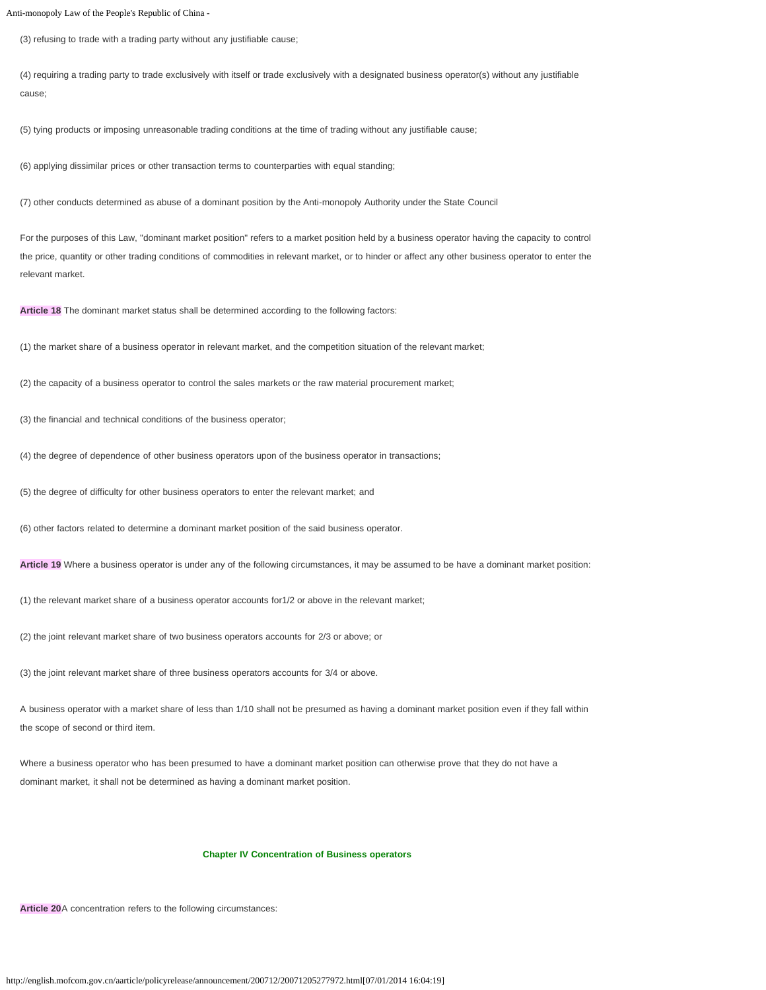(3) refusing to trade with a trading party without any justifiable cause;

(4) requiring a trading party to trade exclusively with itself or trade exclusively with a designated business operator(s) without any justifiable cause;

(5) tying products or imposing unreasonable trading conditions at the time of trading without any justifiable cause;

(6) applying dissimilar prices or other transaction terms to counterparties with equal standing;

(7) other conducts determined as abuse of a dominant position by the Anti-monopoly Authority under the State Council

For the purposes of this Law, "dominant market position" refers to a market position held by a business operator having the capacity to control the price, quantity or other trading conditions of commodities in relevant market, or to hinder or affect any other business operator to enter the relevant market.

**Article 18** The dominant market status shall be determined according to the following factors:

(1) the market share of a business operator in relevant market, and the competition situation of the relevant market;

(2) the capacity of a business operator to control the sales markets or the raw material procurement market;

(3) the financial and technical conditions of the business operator;

(4) the degree of dependence of other business operators upon of the business operator in transactions;

(5) the degree of difficulty for other business operators to enter the relevant market; and

(6) other factors related to determine a dominant market position of the said business operator.

**Article 19** Where a business operator is under any of the following circumstances, it may be assumed to be have a dominant market position:

(1) the relevant market share of a business operator accounts for1/2 or above in the relevant market;

(2) the joint relevant market share of two business operators accounts for 2/3 or above; or

(3) the joint relevant market share of three business operators accounts for 3/4 or above.

A business operator with a market share of less than 1/10 shall not be presumed as having a dominant market position even if they fall within the scope of second or third item.

Where a business operator who has been presumed to have a dominant market position can otherwise prove that they do not have a dominant market, it shall not be determined as having a dominant market position.

### **Chapter IV Concentration of Business operators**

**Article 20**A concentration refers to the following circumstances: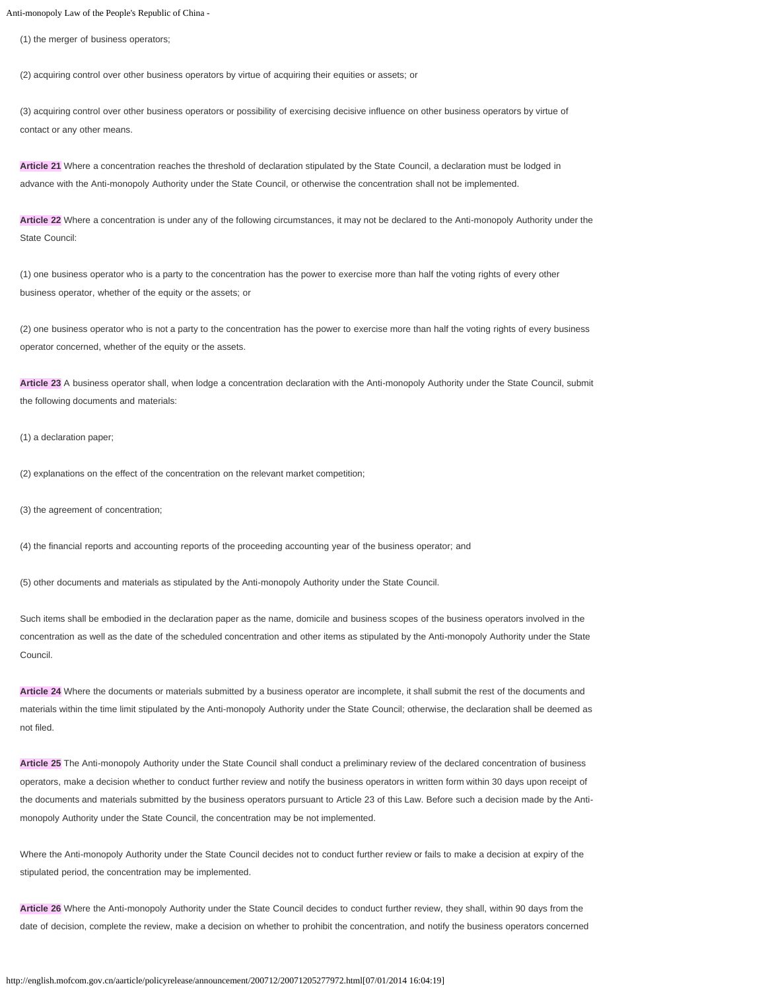(1) the merger of business operators;

(2) acquiring control over other business operators by virtue of acquiring their equities or assets; or

(3) acquiring control over other business operators or possibility of exercising decisive influence on other business operators by virtue of contact or any other means.

**Article 21** Where a concentration reaches the threshold of declaration stipulated by the State Council, a declaration must be lodged in advance with the Anti-monopoly Authority under the State Council, or otherwise the concentration shall not be implemented.

**Article 22** Where a concentration is under any of the following circumstances, it may not be declared to the Anti-monopoly Authority under the State Council:

(1) one business operator who is a party to the concentration has the power to exercise more than half the voting rights of every other business operator, whether of the equity or the assets; or

(2) one business operator who is not a party to the concentration has the power to exercise more than half the voting rights of every business operator concerned, whether of the equity or the assets.

**Article 23** A business operator shall, when lodge a concentration declaration with the Anti-monopoly Authority under the State Council, submit the following documents and materials:

(1) a declaration paper;

(2) explanations on the effect of the concentration on the relevant market competition;

(3) the agreement of concentration;

(4) the financial reports and accounting reports of the proceeding accounting year of the business operator; and

(5) other documents and materials as stipulated by the Anti-monopoly Authority under the State Council.

Such items shall be embodied in the declaration paper as the name, domicile and business scopes of the business operators involved in the concentration as well as the date of the scheduled concentration and other items as stipulated by the Anti-monopoly Authority under the State Council.

**Article 24** Where the documents or materials submitted by a business operator are incomplete, it shall submit the rest of the documents and materials within the time limit stipulated by the Anti-monopoly Authority under the State Council; otherwise, the declaration shall be deemed as not filed.

**Article 25** The Anti-monopoly Authority under the State Council shall conduct a preliminary review of the declared concentration of business operators, make a decision whether to conduct further review and notify the business operators in written form within 30 days upon receipt of the documents and materials submitted by the business operators pursuant to Article 23 of this Law. Before such a decision made by the Antimonopoly Authority under the State Council, the concentration may be not implemented.

Where the Anti-monopoly Authority under the State Council decides not to conduct further review or fails to make a decision at expiry of the stipulated period, the concentration may be implemented.

**Article 26** Where the Anti-monopoly Authority under the State Council decides to conduct further review, they shall, within 90 days from the date of decision, complete the review, make a decision on whether to prohibit the concentration, and notify the business operators concerned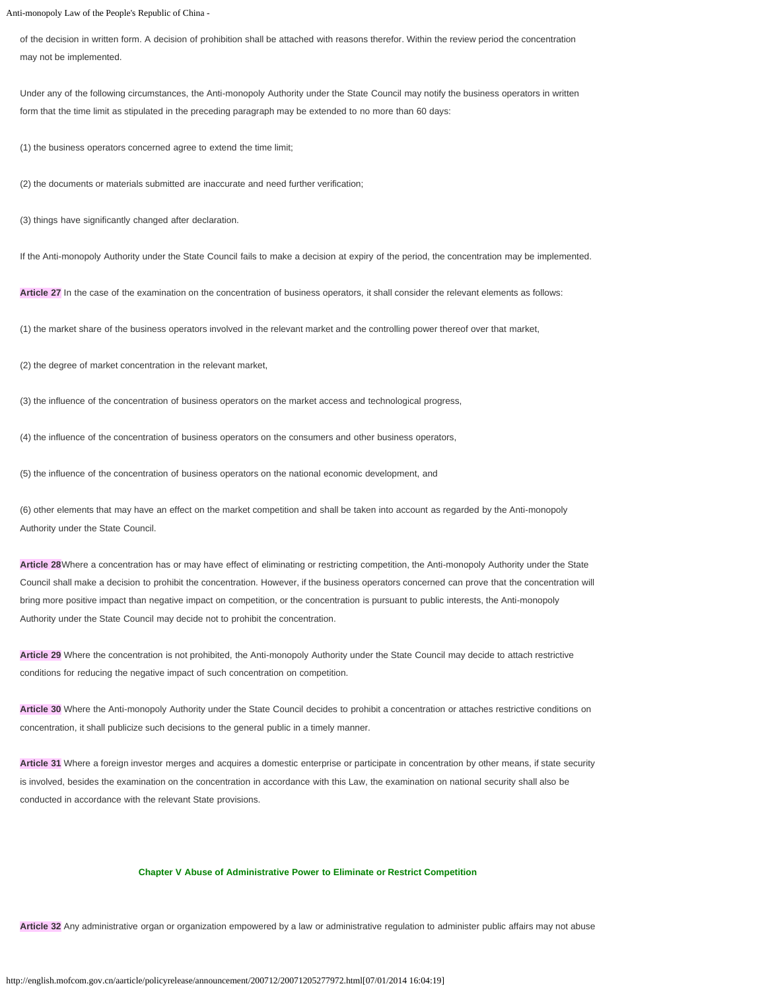of the decision in written form. A decision of prohibition shall be attached with reasons therefor. Within the review period the concentration may not be implemented.

Under any of the following circumstances, the Anti-monopoly Authority under the State Council may notify the business operators in written form that the time limit as stipulated in the preceding paragraph may be extended to no more than 60 days:

(1) the business operators concerned agree to extend the time limit;

(2) the documents or materials submitted are inaccurate and need further verification;

(3) things have significantly changed after declaration.

If the Anti-monopoly Authority under the State Council fails to make a decision at expiry of the period, the concentration may be implemented.

**Article 27** In the case of the examination on the concentration of business operators, it shall consider the relevant elements as follows:

(1) the market share of the business operators involved in the relevant market and the controlling power thereof over that market,

(2) the degree of market concentration in the relevant market,

(3) the influence of the concentration of business operators on the market access and technological progress,

(4) the influence of the concentration of business operators on the consumers and other business operators,

(5) the influence of the concentration of business operators on the national economic development, and

(6) other elements that may have an effect on the market competition and shall be taken into account as regarded by the Anti-monopoly Authority under the State Council.

**Article 28**Where a concentration has or may have effect of eliminating or restricting competition, the Anti-monopoly Authority under the State Council shall make a decision to prohibit the concentration. However, if the business operators concerned can prove that the concentration will bring more positive impact than negative impact on competition, or the concentration is pursuant to public interests, the Anti-monopoly Authority under the State Council may decide not to prohibit the concentration.

**Article 29** Where the concentration is not prohibited, the Anti-monopoly Authority under the State Council may decide to attach restrictive conditions for reducing the negative impact of such concentration on competition.

**Article 30** Where the Anti-monopoly Authority under the State Council decides to prohibit a concentration or attaches restrictive conditions on concentration, it shall publicize such decisions to the general public in a timely manner.

**Article 31** Where a foreign investor merges and acquires a domestic enterprise or participate in concentration by other means, if state security is involved, besides the examination on the concentration in accordance with this Law, the examination on national security shall also be conducted in accordance with the relevant State provisions.

## **Chapter V Abuse of Administrative Power to Eliminate or Restrict Competition**

**Article 32** Any administrative organ or organization empowered by a law or administrative regulation to administer public affairs may not abuse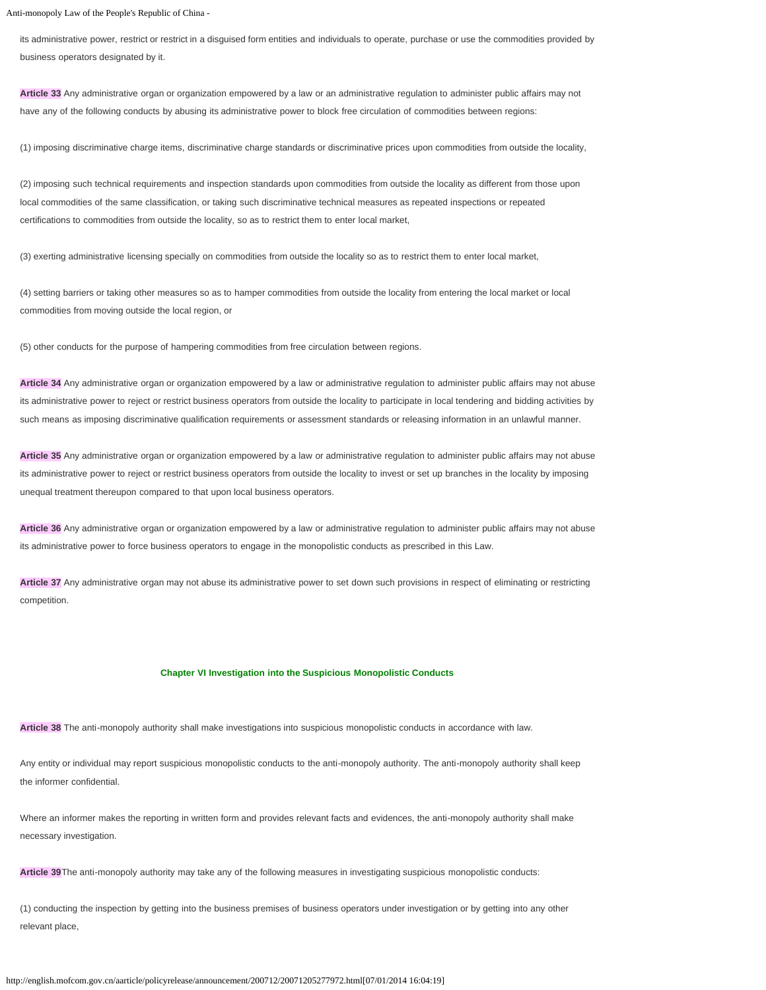its administrative power, restrict or restrict in a disguised form entities and individuals to operate, purchase or use the commodities provided by business operators designated by it.

**Article 33** Any administrative organ or organization empowered by a law or an administrative regulation to administer public affairs may not have any of the following conducts by abusing its administrative power to block free circulation of commodities between regions:

(1) imposing discriminative charge items, discriminative charge standards or discriminative prices upon commodities from outside the locality,

(2) imposing such technical requirements and inspection standards upon commodities from outside the locality as different from those upon local commodities of the same classification, or taking such discriminative technical measures as repeated inspections or repeated certifications to commodities from outside the locality, so as to restrict them to enter local market,

(3) exerting administrative licensing specially on commodities from outside the locality so as to restrict them to enter local market,

(4) setting barriers or taking other measures so as to hamper commodities from outside the locality from entering the local market or local commodities from moving outside the local region, or

(5) other conducts for the purpose of hampering commodities from free circulation between regions.

Article 34 Any administrative organ or organization empowered by a law or administrative regulation to administer public affairs may not abuse its administrative power to reject or restrict business operators from outside the locality to participate in local tendering and bidding activities by such means as imposing discriminative qualification requirements or assessment standards or releasing information in an unlawful manner.

**Article 35** Any administrative organ or organization empowered by a law or administrative regulation to administer public affairs may not abuse its administrative power to reject or restrict business operators from outside the locality to invest or set up branches in the locality by imposing unequal treatment thereupon compared to that upon local business operators.

Article 36 Any administrative organ or organization empowered by a law or administrative regulation to administer public affairs may not abuse its administrative power to force business operators to engage in the monopolistic conducts as prescribed in this Law.

**Article 37** Any administrative organ may not abuse its administrative power to set down such provisions in respect of eliminating or restricting competition.

### **Chapter VI Investigation into the Suspicious Monopolistic Conducts**

**Article 38** The anti-monopoly authority shall make investigations into suspicious monopolistic conducts in accordance with law.

Any entity or individual may report suspicious monopolistic conducts to the anti-monopoly authority. The anti-monopoly authority shall keep the informer confidential.

Where an informer makes the reporting in written form and provides relevant facts and evidences, the anti-monopoly authority shall make necessary investigation.

**Article 39**The anti-monopoly authority may take any of the following measures in investigating suspicious monopolistic conducts:

(1) conducting the inspection by getting into the business premises of business operators under investigation or by getting into any other relevant place,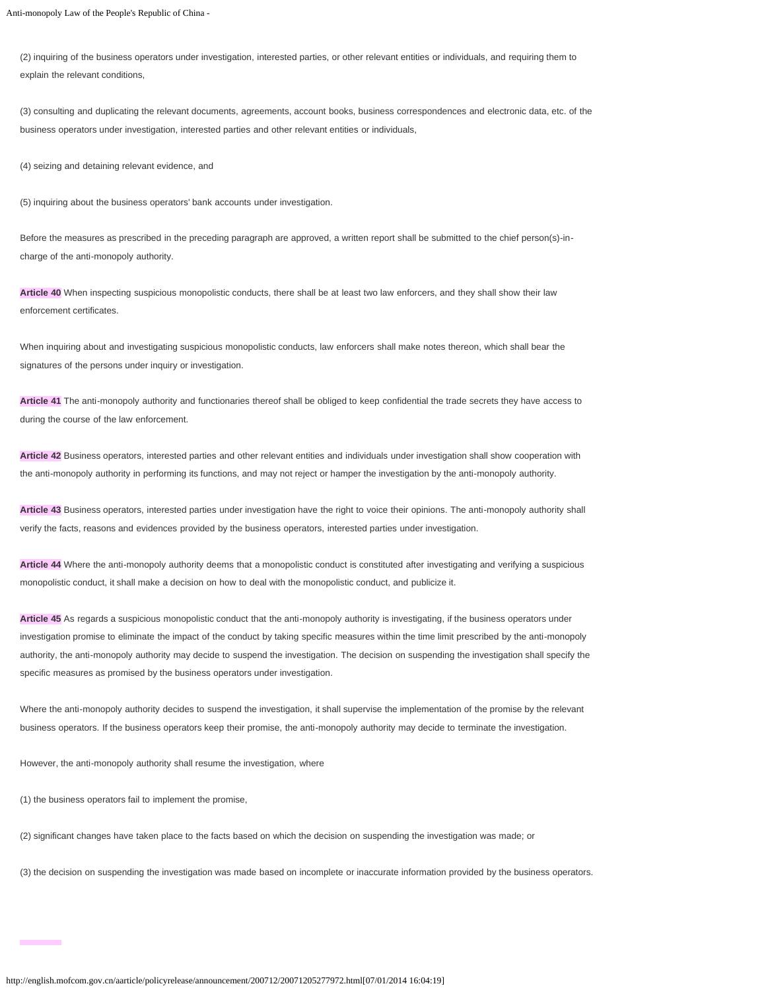(2) inquiring of the business operators under investigation, interested parties, or other relevant entities or individuals, and requiring them to explain the relevant conditions,

(3) consulting and duplicating the relevant documents, agreements, account books, business correspondences and electronic data, etc. of the business operators under investigation, interested parties and other relevant entities or individuals,

(4) seizing and detaining relevant evidence, and

(5) inquiring about the business operators' bank accounts under investigation.

Before the measures as prescribed in the preceding paragraph are approved, a written report shall be submitted to the chief person(s)-incharge of the anti-monopoly authority.

**Article 40** When inspecting suspicious monopolistic conducts, there shall be at least two law enforcers, and they shall show their law enforcement certificates.

When inquiring about and investigating suspicious monopolistic conducts, law enforcers shall make notes thereon, which shall bear the signatures of the persons under inquiry or investigation.

**Article 41** The anti-monopoly authority and functionaries thereof shall be obliged to keep confidential the trade secrets they have access to during the course of the law enforcement.

**Article 42** Business operators, interested parties and other relevant entities and individuals under investigation shall show cooperation with the anti-monopoly authority in performing its functions, and may not reject or hamper the investigation by the anti-monopoly authority.

**Article 43** Business operators, interested parties under investigation have the right to voice their opinions. The anti-monopoly authority shall verify the facts, reasons and evidences provided by the business operators, interested parties under investigation.

**Article 44** Where the anti-monopoly authority deems that a monopolistic conduct is constituted after investigating and verifying a suspicious monopolistic conduct, it shall make a decision on how to deal with the monopolistic conduct, and publicize it.

**Article 45** As regards a suspicious monopolistic conduct that the anti-monopoly authority is investigating, if the business operators under investigation promise to eliminate the impact of the conduct by taking specific measures within the time limit prescribed by the anti-monopoly authority, the anti-monopoly authority may decide to suspend the investigation. The decision on suspending the investigation shall specify the specific measures as promised by the business operators under investigation.

Where the anti-monopoly authority decides to suspend the investigation, it shall supervise the implementation of the promise by the relevant business operators. If the business operators keep their promise, the anti-monopoly authority may decide to terminate the investigation.

However, the anti-monopoly authority shall resume the investigation, where

(1) the business operators fail to implement the promise,

(2) significant changes have taken place to the facts based on which the decision on suspending the investigation was made; or

(3) the decision on suspending the investigation was made based on incomplete or inaccurate information provided by the business operators.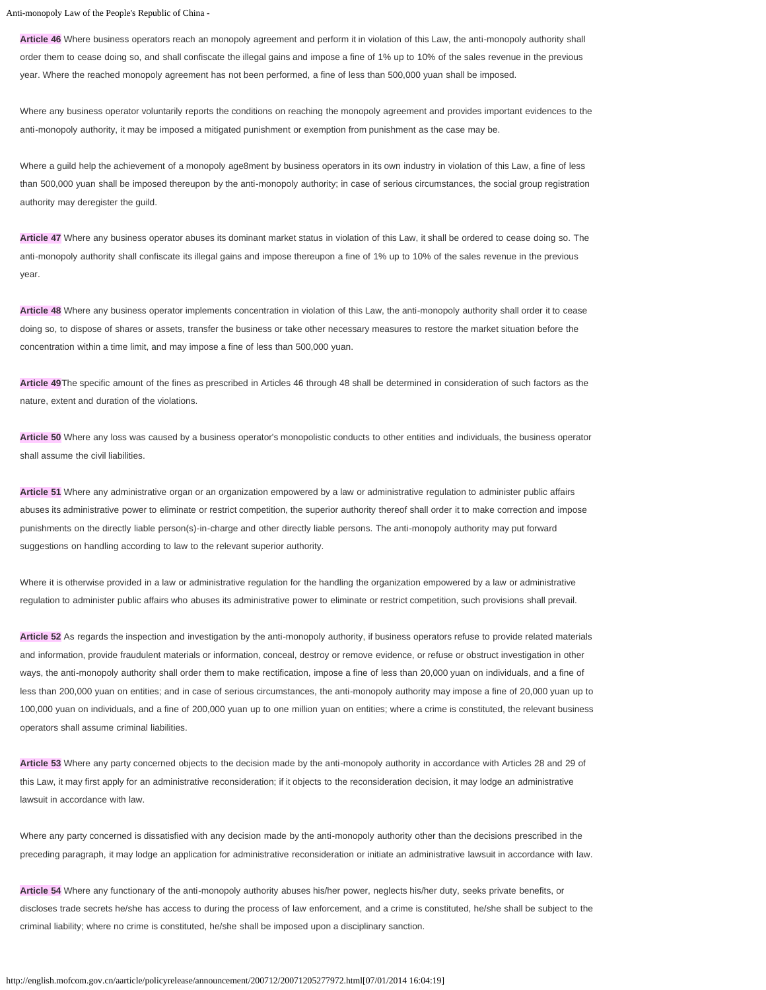**Article 46** Where business operators reach an monopoly agreement and perform it in violation of this Law, the anti-monopoly authority shall order them to cease doing so, and shall confiscate the illegal gains and impose a fine of 1% up to 10% of the sales revenue in the previous year. Where the reached monopoly agreement has not been performed, a fine of less than 500,000 yuan shall be imposed.

Where any business operator voluntarily reports the conditions on reaching the monopoly agreement and provides important evidences to the anti-monopoly authority, it may be imposed a mitigated punishment or exemption from punishment as the case may be.

Where a quild help the achievement of a monopoly age8ment by business operators in its own industry in violation of this Law, a fine of less than 500,000 yuan shall be imposed thereupon by the anti-monopoly authority; in case of serious circumstances, the social group registration authority may deregister the guild.

**Article 47** Where any business operator abuses its dominant market status in violation of this Law, it shall be ordered to cease doing so. The anti-monopoly authority shall confiscate its illegal gains and impose thereupon a fine of 1% up to 10% of the sales revenue in the previous year.

**Article 48** Where any business operator implements concentration in violation of this Law, the anti-monopoly authority shall order it to cease doing so, to dispose of shares or assets, transfer the business or take other necessary measures to restore the market situation before the concentration within a time limit, and may impose a fine of less than 500,000 yuan.

**Article 49**The specific amount of the fines as prescribed in Articles 46 through 48 shall be determined in consideration of such factors as the nature, extent and duration of the violations.

**Article 50** Where any loss was caused by a business operator's monopolistic conducts to other entities and individuals, the business operator shall assume the civil liabilities.

**Article 51** Where any administrative organ or an organization empowered by a law or administrative regulation to administer public affairs abuses its administrative power to eliminate or restrict competition, the superior authority thereof shall order it to make correction and impose punishments on the directly liable person(s)-in-charge and other directly liable persons. The anti-monopoly authority may put forward suggestions on handling according to law to the relevant superior authority.

Where it is otherwise provided in a law or administrative regulation for the handling the organization empowered by a law or administrative regulation to administer public affairs who abuses its administrative power to eliminate or restrict competition, such provisions shall prevail.

**Article 52** As regards the inspection and investigation by the anti-monopoly authority, if business operators refuse to provide related materials and information, provide fraudulent materials or information, conceal, destroy or remove evidence, or refuse or obstruct investigation in other ways, the anti-monopoly authority shall order them to make rectification, impose a fine of less than 20,000 yuan on individuals, and a fine of less than 200,000 yuan on entities; and in case of serious circumstances, the anti-monopoly authority may impose a fine of 20,000 yuan up to 100,000 yuan on individuals, and a fine of 200,000 yuan up to one million yuan on entities; where a crime is constituted, the relevant business operators shall assume criminal liabilities.

**Article 53** Where any party concerned objects to the decision made by the anti-monopoly authority in accordance with Articles 28 and 29 of this Law, it may first apply for an administrative reconsideration; if it objects to the reconsideration decision, it may lodge an administrative lawsuit in accordance with law.

Where any party concerned is dissatisfied with any decision made by the anti-monopoly authority other than the decisions prescribed in the preceding paragraph, it may lodge an application for administrative reconsideration or initiate an administrative lawsuit in accordance with law.

**Article 54** Where any functionary of the anti-monopoly authority abuses his/her power, neglects his/her duty, seeks private benefits, or discloses trade secrets he/she has access to during the process of law enforcement, and a crime is constituted, he/she shall be subject to the criminal liability; where no crime is constituted, he/she shall be imposed upon a disciplinary sanction.